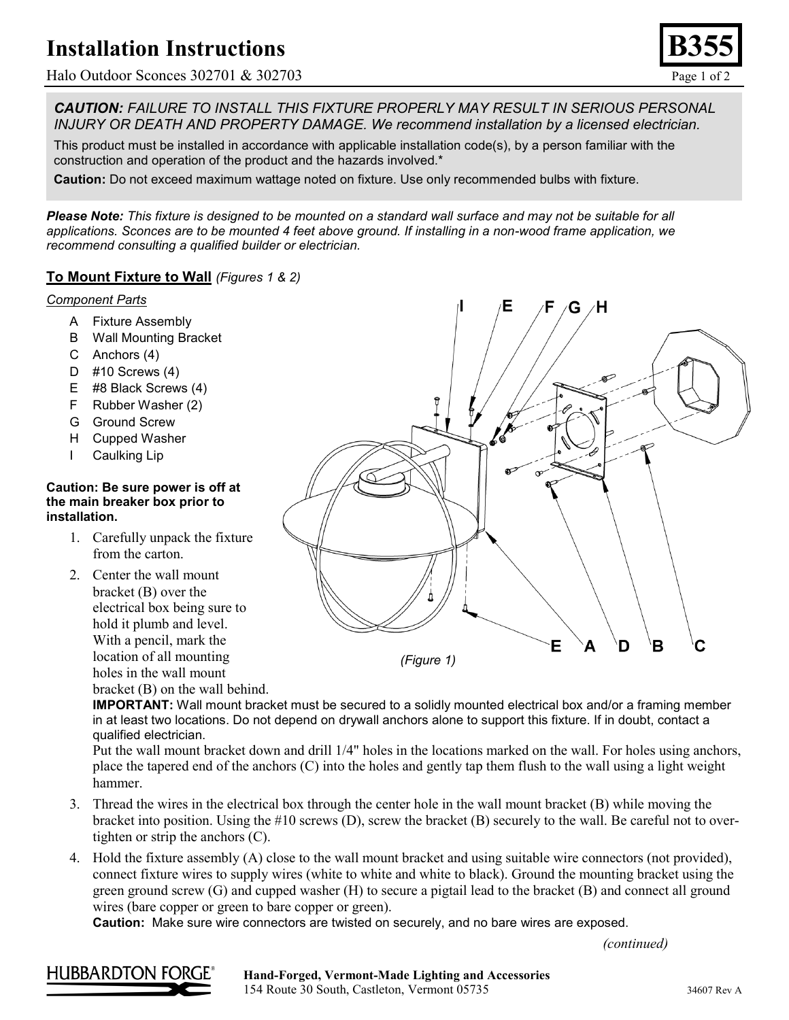# **Installation Instructions**

Halo Outdoor Sconces 302701 & 302703 Page 1 of 2

*CAUTION: FAILURE TO INSTALL THIS FIXTURE PROPERLY MAY RESULT IN SERIOUS PERSONAL INJURY OR DEATH AND PROPERTY DAMAGE. We recommend installation by a licensed electrician.*

This product must be installed in accordance with applicable installation code(s), by a person familiar with the construction and operation of the product and the hazards involved.\*

**Caution:** Do not exceed maximum wattage noted on fixture. Use only recommended bulbs with fixture.

*Please Note: This fixture is designed to be mounted on a standard wall surface and may not be suitable for all applications. Sconces are to be mounted 4 feet above ground. If installing in a non-wood frame application, we recommend consulting a qualified builder or electrician.*

### **To Mount Fixture to Wall** *(Figures 1 & 2)*

#### *Component Parts*

- A Fixture Assembly
- B Wall Mounting Bracket
- C Anchors (4)
- D #10 Screws (4)
- E #8 Black Screws (4)
- F Rubber Washer (2)
- G Ground Screw
- H Cupped Washer
- I Caulking Lip

#### **Caution: Be sure power is off at the main breaker box prior to installation.**

- 1. Carefully unpack the fixture from the carton.
- 2. Center the wall mount bracket (B) over the electrical box being sure to hold it plumb and level. With a pencil, mark the location of all mounting holes in the wall mount bracket (B) on the wall behind.

G 'Η E A D в C *(Figure 1)*

**IMPORTANT:** Wall mount bracket must be secured to a solidly mounted electrical box and/or a framing member in at least two locations. Do not depend on drywall anchors alone to support this fixture. If in doubt, contact a qualified electrician.

Put the wall mount bracket down and drill 1/4" holes in the locations marked on the wall. For holes using anchors, place the tapered end of the anchors (C) into the holes and gently tap them flush to the wall using a light weight hammer.

- 3. Thread the wires in the electrical box through the center hole in the wall mount bracket (B) while moving the bracket into position. Using the #10 screws (D), screw the bracket (B) securely to the wall. Be careful not to overtighten or strip the anchors (C).
- 4. Hold the fixture assembly (A) close to the wall mount bracket and using suitable wire connectors (not provided), connect fixture wires to supply wires (white to white and white to black). Ground the mounting bracket using the green ground screw (G) and cupped washer (H) to secure a pigtail lead to the bracket (B) and connect all ground wires (bare copper or green to bare copper or green).

**Caution:** Make sure wire connectors are twisted on securely, and no bare wires are exposed.

*(continued)*